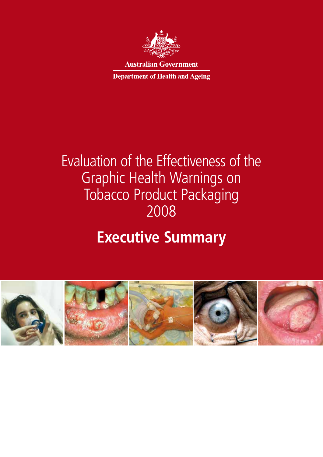

**Australian Government** 

**Department of Health and Ageing** 

# Evaluation of the Effectiveness of the Graphic Health Warnings on Tobacco Product Packaging 2008

# **Executive Summary**

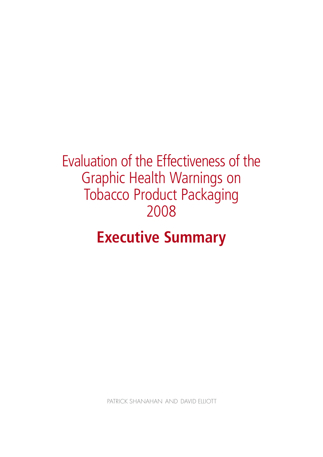# Evaluation of the Effectiveness of the Graphic Health Warnings on Tobacco Product Packaging 2008

# **Executive Summary**

PATRICK SHANAHAN AND DAVID FILIOTT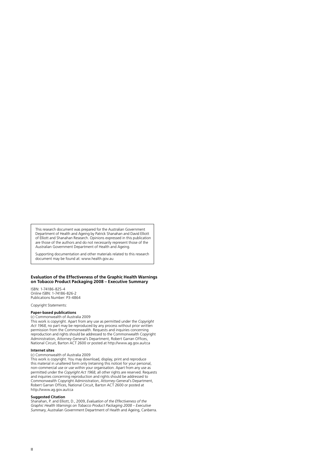This research document was prepared for the Australian Government Department of Health and Ageing by Patrick Shanahan and David Elliott of Elliott and Shanahan Research. Opinions expressed in this publication are those of the authors and do not necessarily represent those of the Australian Government Department of Health and Ageing.

Supporting documentation and other materials related to this research document may be found at: www.health.gov.au

#### **Evaluation of the Effectiveness of the Graphic Health Warnings on Tobacco Product Packaging 2008 – Executive Summary**

ISBN: 1-74186-825-4 Online ISBN: 1-74186-826-2 Publications Number: P3-4864

Copyright Statements:

#### **Paper-based publications**  (c) Commonwealth of Australia 2009

This work is copyright. Apart from any use as permitted under the *Copyright Act 1968*, no part may be reproduced by any process without prior written permission from the Commonwealth. Requests and inquiries concerning reproduction and rights should be addressed to the Commonwealth Copyright Administration, Attorney-General's Department, Robert Garran Offices, National Circuit, Barton ACT 2600 or posted at http://www.ag.gov.au/cca

#### **Internet sites**

(c) Commonwealth of Australia 2009

This work is copyright. You may download, display, print and reproduce this material in unaltered form only (retaining this notice) for your personal, non-commercial use or use within your organisation. Apart from any use as permitted under the *Copyright Act 1968*, all other rights are reserved. Requests and inquiries concerning reproduction and rights should be addressed to Commonwealth Copyright Administration, Attorney-General's Department, Robert Garran Offices, National Circuit, Barton ACT 2600 or posted at http://www.ag.gov.au/cca

#### **Suggested Citation**

Shanahan, P. and Elliott, D., 2009, *Evaluation of the Effectiveness of the Graphic Health Warnings on Tobacco Product Packaging 2008 – Executive Summary*, Australian Government Department of Health and Ageing, Canberra.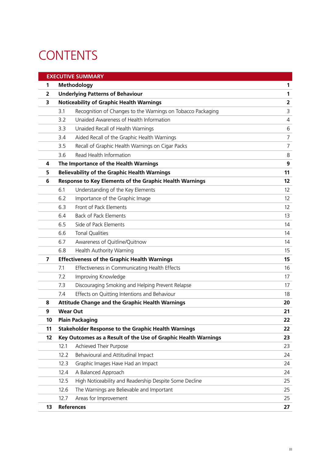# **CONTENTS**

|                |                                                            | <b>EXECUTIVE SUMMARY</b>                                       |                         |
|----------------|------------------------------------------------------------|----------------------------------------------------------------|-------------------------|
| 1              | Methodology                                                | 1                                                              |                         |
| $\overline{2}$ | <b>Underlying Patterns of Behaviour</b>                    |                                                                |                         |
| 3              | <b>Noticeability of Graphic Health Warnings</b>            |                                                                | $\overline{\mathbf{2}}$ |
|                | 3.1                                                        | Recognition of Changes to the Warnings on Tobacco Packaging    | 3                       |
|                | 3.2                                                        | Unaided Awareness of Health Information                        | $\overline{4}$          |
|                | 3.3                                                        | Unaided Recall of Health Warnings                              | 6                       |
|                | 3.4                                                        | Aided Recall of the Graphic Health Warnings                    | $\overline{7}$          |
|                | 3.5                                                        | Recall of Graphic Health Warnings on Cigar Packs               | $\overline{7}$          |
|                | 3.6                                                        | Read Health Information                                        | 8                       |
| 4              |                                                            | The Importance of the Health Warnings                          | 9                       |
| 5              |                                                            | <b>Believability of the Graphic Health Warnings</b>            | 11                      |
| 6              |                                                            | Response to Key Elements of the Graphic Health Warnings        | 12                      |
|                | 6.1                                                        | Understanding of the Key Elements                              | 12                      |
|                | 6.2                                                        | Importance of the Graphic Image                                | $12 \overline{ }$       |
|                | 6.3                                                        | Front of Pack Elements                                         | $12 \overline{ }$       |
|                | 6.4                                                        | <b>Back of Pack Elements</b>                                   | 13                      |
|                | 6.5                                                        | Side of Pack Elements                                          | 14                      |
|                | 6.6                                                        | <b>Tonal Qualities</b>                                         | 14                      |
|                | 6.7                                                        | Awareness of Quitline/Quitnow                                  | 14                      |
|                | 6.8                                                        | Health Authority Warning                                       | 15                      |
| $\overline{7}$ | <b>Effectiveness of the Graphic Health Warnings</b>        |                                                                | 15                      |
|                | 7.1                                                        | Effectiveness in Communicating Health Effects                  | 16                      |
|                | 7.2                                                        | Improving Knowledge                                            | 17                      |
|                | 7.3                                                        | Discouraging Smoking and Helping Prevent Relapse               | 17                      |
|                | 7.4                                                        | Effects on Quitting Intentions and Behaviour                   | 18                      |
| 8              | <b>Attitude Change and the Graphic Health Warnings</b>     |                                                                | 20                      |
| 9              |                                                            | <b>Wear Out</b>                                                | 21                      |
| 10             |                                                            | <b>Plain Packaging</b>                                         | 22                      |
| 11             | <b>Stakeholder Response to the Graphic Health Warnings</b> |                                                                | 22                      |
| 12             |                                                            | Key Outcomes as a Result of the Use of Graphic Health Warnings | 23                      |
|                | 12.1                                                       | Achieved Their Purpose                                         | 23                      |
|                | 12.2                                                       | Behavioural and Attitudinal Impact                             | 24                      |
|                | 12.3                                                       | Graphic Images Have Had an Impact                              | 24                      |
|                | 12.4                                                       | A Balanced Approach                                            | 24                      |
|                | 12.5                                                       | High Noticeability and Readership Despite Some Decline         | 25                      |
|                | 12.6                                                       | The Warnings are Believable and Important                      | 25                      |
|                | 12.7                                                       | Areas for Improvement                                          | 25                      |
| 13             |                                                            | <b>References</b>                                              | 27                      |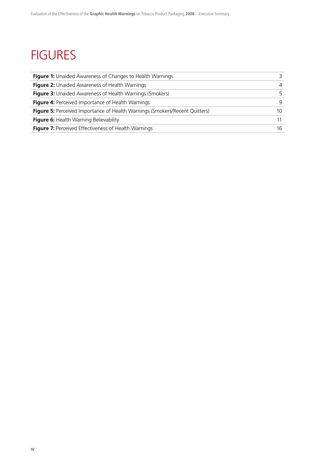# **FIGURES**

| <b>Figure 1:</b> Unaided Awareness of Changes to Health Warnings                   |     |
|------------------------------------------------------------------------------------|-----|
| Figure 2: Unaided Awareness of Health Warnings                                     | 4   |
| <b>Figure 3:</b> Unaided Awareness of Health Warnings (Smokers)                    | 5.  |
| <b>Figure 4: Perceived Importance of Health Warnings</b>                           | 9   |
| <b>Figure 5:</b> Perceived Importance of Health Warnings (Smokers/Recent Quitters) | 10. |
| Figure 6: Health Warning Believability                                             |     |
| <b>Figure 7:</b> Perceived Effectiveness of Health Warnings                        | 16  |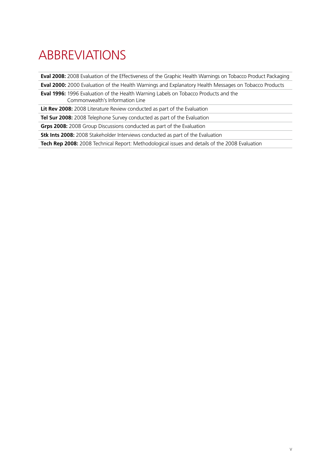# ABBREVIATIONS

**Eval 2008:** 2008 Evaluation of the Effectiveness of the Graphic Health Warnings on Tobacco Product Packaging

**Eval 2000:** 2000 Evaluation of the Health Warnings and Explanatory Health Messages on Tobacco Products

**Eval 1996:** 1996 Evaluation of the Health Warning Labels on Tobacco Products and the Commonwealth's Information Line

**Lit Rev 2008:** 2008 Literature Review conducted as part of the Evaluation

**Tel Sur 2008:** 2008 Telephone Survey conducted as part of the Evaluation

**Grps 2008:** 2008 Group Discussions conducted as part of the Evaluation

**Stk Ints 2008:** 2008 Stakeholder Interviews conducted as part of the Evaluation

**Tech Rep 2008:** 2008 Technical Report: Methodological issues and details of the 2008 Evaluation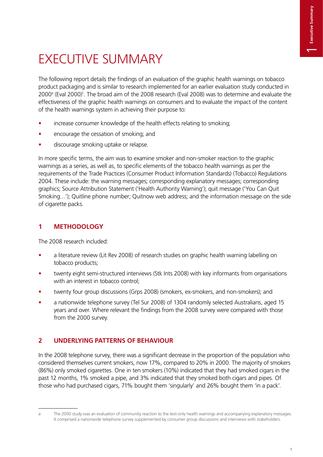# EXECUTIVE SUMMARY

The following report details the findings of an evaluation of the graphic health warnings on tobacco product packaging and is similar to research implemented for an earlier evaluation study conducted in 2000<sup>a</sup> (Eval 2000)<sup>1</sup>. The broad aim of the 2008 research (Eval 2008) was to determine and evaluate the effectiveness of the graphic health warnings on consumers and to evaluate the impact of the content of the health warnings system in achieving their purpose to:

- increase consumer knowledge of the health effects relating to smoking;
- encourage the cessation of smoking; and
- discourage smoking uptake or relapse.

In more specific terms, the aim was to examine smoker and non-smoker reaction to the graphic warnings as a series, as well as, to specific elements of the tobacco health warnings as per the requirements of the Trade Practices (Consumer Product Information Standards) (Tobacco) Regulations 2004. These include: the warning messages; corresponding explanatory messages; corresponding graphics; Source Attribution Statement ('Health Authority Warning'); quit message ('You Can Quit Smoking…'); Quitline phone number; Quitnow web address; and the information message on the side of cigarette packs.

# **1 METHODOLOGY**

The 2008 research included:

- a literature review (Lit Rev 2008) of research studies on graphic health warning labelling on tobacco products;
- twenty eight semi-structured interviews (Stk Ints 2008) with key informants from organisations with an interest in tobacco control;
- twenty four group discussions (Grps 2008) (smokers, ex-smokers, and non-smokers); and
- a nationwide telephone survey (Tel Sur 2008) of 1304 randomly selected Australians, aged 15 years and over. Where relevant the findings from the 2008 survey were compared with those from the 2000 survey.

# **2 UNDERLYING PATTERNS OF BEHAVIOUR**

In the 2008 telephone survey, there was a significant decrease in the proportion of the population who considered themselves current smokers, now 17%, compared to 20% in 2000. The majority of smokers (86%) only smoked cigarettes. One in ten smokers (10%) indicated that they had smoked cigars in the past 12 months, 1% smoked a pipe, and 3% indicated that they smoked both cigars and pipes. Of those who had purchased cigars, 71% bought them 'singularly' and 26% bought them 'in a pack'.

a The 2000 study was an evaluation of community reaction to the text-only health warnings and accompanying explanatory messages. It comprised a nationwide telephone survey supplemented by consumer group discussions and interviews with stakeholders.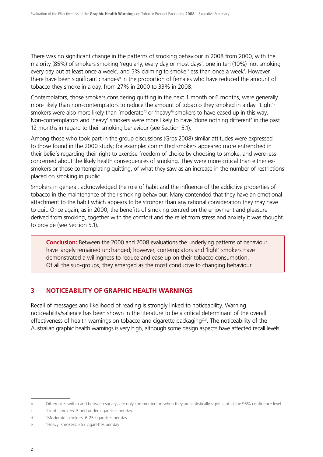There was no significant change in the patterns of smoking behaviour in 2008 from 2000, with the majority (85%) of smokers smoking 'regularly, every day or most days', one in ten (10%) 'not smoking every day but at least once a week', and 5% claiming to smoke 'less than once a week'. However, there have been significant changes<sup>b</sup> in the proportion of females who have reduced the amount of tobacco they smoke in a day, from 27% in 2000 to 33% in 2008.

Contemplators, those smokers considering quitting in the next 1 month or 6 months, were generally more likely than non-contemplators to reduce the amount of tobacco they smoked in a day. 'Light'<sup>c</sup> smokers were also more likely than 'moderate'<sup>d</sup> or 'heavy'<sup>e</sup> smokers to have eased up in this way. Non-contemplators and 'heavy' smokers were more likely to have 'done nothing different' in the past 12 months in regard to their smoking behaviour (see Section 5.1).

Among those who took part in the group discussions (Grps 2008) similar attitudes were expressed to those found in the 2000 study; for example: committed smokers appeared more entrenched in their beliefs regarding their right to exercise freedom of choice by choosing to smoke, and were less concerned about the likely health consequences of smoking. They were more critical than either exsmokers or those contemplating quitting, of what they saw as an increase in the number of restrictions placed on smoking in public.

Smokers in general, acknowledged the role of habit and the influence of the addictive properties of tobacco in the maintenance of their smoking behaviour. Many contended that they have an emotional attachment to the habit which appears to be stronger than any rational consideration they may have to quit. Once again, as in 2000, the benefits of smoking centred on the enjoyment and pleasure derived from smoking, together with the comfort and the relief from stress and anxiety it was thought to provide (see Section 5.1).

**Conclusion:** Between the 2000 and 2008 evaluations the underlying patterns of behaviour have largely remained unchanged; however, contemplators and 'light' smokers have demonstrated a willingness to reduce and ease up on their tobacco consumption. Of all the sub-groups, they emerged as the most conducive to changing behaviour.

# **3 NOTICEABILITY OF GRAPHIC HEALTH WARNINGS**

Recall of messages and likelihood of reading is strongly linked to noticeability. Warning noticeability/salience has been shown in the literature to be a critical determinant of the overall effectiveness of health warnings on tobacco and cigarette packaging<sup>2,3</sup>. The noticeability of the Australian graphic health warnings is very high, although some design aspects have affected recall levels.

b Differences within and between surveys are only commented on when they are statistically significant at the 95% confidence level.

c 'Light' smokers: 5 and under cigarettes per day

d 'Moderate' smokers: 6-25 cigarettes per day

e 'Heavy' smokers: 26+ cigarettes per day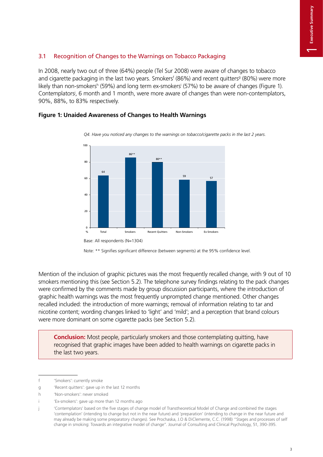# 3.1 Recognition of Changes to the Warnings on Tobacco Packaging

In 2008, nearly two out of three (64%) people (Tel Sur 2008) were aware of changes to tobacco and cigarette packaging in the last two years. Smokers<sup>f</sup> (86%) and recent quitters<sup>g</sup> (80%) were more likely than non-smokers<sup>h</sup> (59%) and long term ex-smokers<sup>i</sup> (57%) to be aware of changes (Figure 1). Contemplatorsj , 6 month and 1 month, were more aware of changes than were non-contemplators, 90%, 88%, to 83% respectively.

*Q4. Have you noticed any changes to the warnings on tobacco/cigarette packs in the last 2 years.*



**Figure 1: Unaided Awareness of Changes to Health Warnings** 

Base: All respondents (N=1304)



Mention of the inclusion of graphic pictures was the most frequently recalled change, with 9 out of 10 smokers mentioning this (see Section 5.2). The telephone survey findings relating to the pack changes were confirmed by the comments made by group discussion participants, where the introduction of graphic health warnings was the most frequently unprompted change mentioned. Other changes recalled included: the introduction of more warnings; removal of information relating to tar and nicotine content; wording changes linked to 'light' and 'mild'; and a perception that brand colours were more dominant on some cigarette packs (see Section 5.2).

**Conclusion:** Most people, particularly smokers and those contemplating quitting, have recognised that graphic images have been added to health warnings on cigarette packs in the last two years.

f 'Smokers': currently smoke

g 'Recent quitters': gave up in the last 12 months

h 'Non-smokers': never smoked

<sup>&#</sup>x27;Ex-smokers': gave up more than 12 months ago

<sup>&#</sup>x27;Contemplators' based on the five stages of change model of Transtheoretical Model of Change and combined the stages 'contemplation' (intending to change but not in the near future) and 'preparation' (intending to change in the near future and may already be making some preparatory changes). See Prochaska, J.O & DiClemente, C.C. (1998) "Stages and processes of self change in smoking: Towards an integrative model of change". Journal of Consulting and Clinical Psychology, 51, 390-395.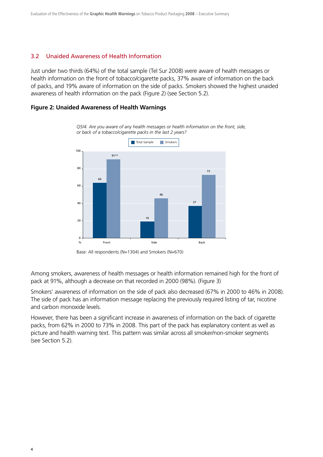#### 3.2 Unaided Awareness of Health Information

Just under two thirds (64%) of the total sample (Tel Sur 2008) were aware of health messages or health information on the front of tobacco/cigarette packs, 37% aware of information on the back of packs, and 19% aware of information on the side of packs. Smokers showed the highest unaided awareness of health information on the pack (Figure 2) (see Section 5.2).

#### **Figure 2: Unaided Awareness of Health Warnings**



*Q5/4. Are you aware of any health messages or health information on the front, side, or back of a tobacco/cigarette packs in the last 2 years?*

Base: All respondents (N=1304) and Smokers (N=670)

Among smokers, awareness of health messages or health information remained high for the front of pack at 91%, although a decrease on that recorded in 2000 (98%). (Figure 3)

Smokers' awareness of information on the side of pack also decreased (67% in 2000 to 46% in 2008). The side of pack has an information message replacing the previously required listing of tar, nicotine and carbon monoxide levels.

However, there has been a significant increase in awareness of information on the back of cigarette packs, from 62% in 2000 to 73% in 2008. This part of the pack has explanatory content as well as picture and health warning text. This pattern was similar across all smoker/non-smoker segments (see Section 5.2).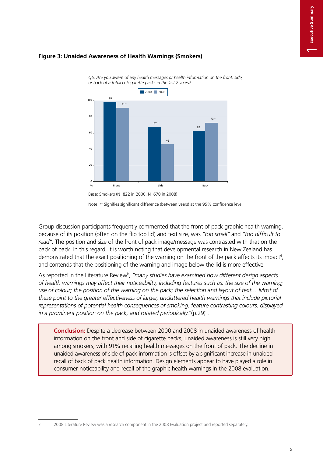# **Figure 3: Unaided Awareness of Health Warnings (Smokers)**



*Q5. Are you aware of any health messages or health information on the front, side, or back of a tobacco/cigarette packs in the last 2 years?*

Group discussion participants frequently commented that the front of pack graphic health warning, because of its position (often on the flip top lid) and text size, was *"too small"* and *"too difficult to read"*. The position and size of the front of pack image/message was contrasted with that on the back of pack. In this regard, it is worth noting that developmental research in New Zealand has demonstrated that the exact positioning of the warning on the front of the pack affects its impact<sup>4</sup>, and contends that the positioning of the warning and image below the lid is more effective.

As reported in the Literature Review<sup>k</sup>, "many studies have examined how different design aspects *of health warnings may affect their noticeability, including features such as: the size of the warning;*  use of colour; the position of the warning on the pack; the selection and layout of text... Most of *these point to the greater effectiveness of larger, uncluttered health warnings that include pictorial representations of potential health consequences of smoking, feature contrasting colours, displayed in a prominent position on the pack, and rotated periodically."*(p.29)5 .

**Conclusion:** Despite a decrease between 2000 and 2008 in unaided awareness of health information on the front and side of cigarette packs, unaided awareness is still very high among smokers, with 91% recalling health messages on the front of pack. The decline in unaided awareness of side of pack information is offset by a significant increase in unaided recall of back of pack health information. Design elements appear to have played a role in consumer noticeability and recall of the graphic health warnings in the 2008 evaluation.

Note: ++ Signifies significant difference (between years) at the 95% confidence level.

<sup>2008</sup> Literature Review was a research component in the 2008 Evaluation project and reported separately.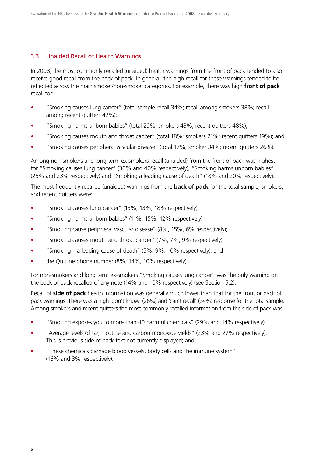#### 3.3 Unaided Recall of Health Warnings

In 2008, the most commonly recalled (unaided) health warnings from the front of pack tended to also receive good recall from the back of pack. In general, the high recall for these warnings tended to be reflected across the main smoker/non-smoker categories. For example, there was high **front of pack** recall for:

- "Smoking causes lung cancer" (total sample recall 34%; recall among smokers 38%; recall among recent quitters 42%);
- "Smoking harms unborn babies" (total 29%; smokers 43%; recent quitters 48%);
- "Smoking causes mouth and throat cancer" (total 18%; smokers 21%; recent quitters 19%); and
- "Smoking causes peripheral vascular disease" (total 17%; smoker 34%; recent quitters 26%).

Among non-smokers and long term ex-smokers recall (unaided) from the front of pack was highest for "Smoking causes lung cancer" (30% and 40% respectively), "Smoking harms unborn babies" (25% and 23% respectively) and "Smoking a leading cause of death" (18% and 20% respectively).

The most frequently recalled (unaided) warnings from the **back of pack** for the total sample, smokers, and recent quitters were:

- "Smoking causes lung cancer" (13%, 13%, 18% respectively);
- "Smoking harms unborn babies" (11%, 15%, 12% respectively);
- "Smoking cause peripheral vascular disease" (8%, 15%, 6% respectively);
- "Smoking causes mouth and throat cancer" (7%, 7%, 9% respectively);
- "Smoking a leading cause of death" (5%, 9%, 10% respectively); and
- $\bullet$  the Quitline phone number (8%, 14%, 10% respectively).

For non-smokers and long term ex-smokers "Smoking causes lung cancer" was the only warning on the back of pack recalled of any note (14% and 10% respectively) (see Section 5.2).

Recall of **side of pack** health information was generally much lower than that for the front or back of pack warnings. There was a high 'don't know' (26%) and 'can't recall' (24%) response for the total sample. Among smokers and recent quitters the most commonly recalled information from the side of pack was:

- "Smoking exposes you to more than 40 harmful chemicals" (29% and 14% respectively);
- "Average levels of tar, nicotine and carbon monoxide yields" (23% and 27% respectively). This is previous side of pack text not currently displayed; and
- These chemicals damage blood vessels, body cells and the immune system" (16% and 3% respectively).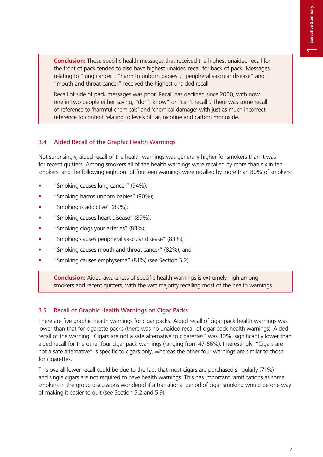**Conclusion:** Those specific health messages that received the highest unaided recall for the front of pack tended to also have highest unaided recall for back of pack. Messages relating to "lung cancer", "harm to unborn babies", "peripheral vascular disease" and "mouth and throat cancer" received the highest unaided recall.

Recall of side of pack messages was poor. Recall has declined since 2000, with now one in two people either saying, "don't know" or "can't recall". There was some recall of reference to 'harmful chemicals' and 'chemical damage' with just as much incorrect reference to content relating to levels of tar, nicotine and carbon monoxide.

### 3.4 Aided Recall of the Graphic Health Warnings

Not surprisingly, aided recall of the health warnings was generally higher for smokers than it was for recent quitters. Among smokers all of the health warnings were recalled by more than six in ten smokers, and the following eight out of fourteen warnings were recalled by more than 80% of smokers:

- "Smoking causes lung cancer" (94%);
- "Smoking harms unborn babies" (90%);
- "Smoking is addictive" (89%);
- "Smoking causes heart disease" (89%);
- "Smoking clogs your arteries" (83%);
- "Smoking causes peripheral vascular disease" (83%);
- "Smoking causes mouth and throat cancer" (82%); and
- "Smoking causes emphysema" (81%) (see Section 5.2).

**Conclusion:** Aided awareness of specific health warnings is extremely high among smokers and recent quitters, with the vast majority recalling most of the health warnings.

### 3.5 Recall of Graphic Health Warnings on Cigar Packs

There are five graphic health warnings for cigar packs. Aided recall of cigar pack health warnings was lower than that for cigarette packs (there was no unaided recall of cigar pack health warnings). Aided recall of the warning "Cigars are not a safe alternative to cigarettes" was 30%, significantly lower than aided recall for the other four cigar pack warnings (ranging from 47-66%). Interestingly, "Cigars are not a safe alternative" is specific to cigars only, whereas the other four warnings are similar to those for cigarettes.

This overall lower recall could be due to the fact that most cigars are purchased singularly (71%) and single cigars are not required to have health warnings. This has important ramifications as some smokers in the group discussions wondered if a transitional period of cigar smoking would be one way of making it easier to quit (see Section 5.2 and 5.9).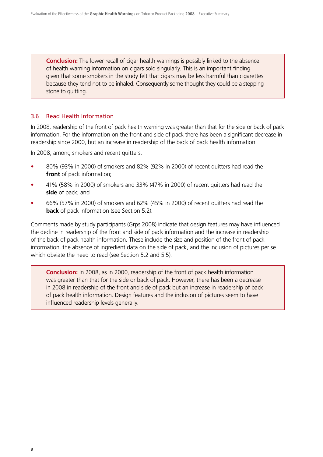**Conclusion:** The lower recall of cigar health warnings is possibly linked to the absence of health warning information on cigars sold singularly. This is an important finding given that some smokers in the study felt that cigars may be less harmful than cigarettes because they tend not to be inhaled. Consequently some thought they could be a stepping stone to quitting.

### 3.6 Read Health Information

In 2008, readership of the front of pack health warning was greater than that for the side or back of pack information. For the information on the front and side of pack there has been a significant decrease in readership since 2000, but an increase in readership of the back of pack health information.

In 2008, among smokers and recent quitters:

- 80% (93% in 2000) of smokers and 82% (92% in 2000) of recent quitters had read the **front** of pack information;
- t 41% (58% in 2000) of smokers and 33% (47% in 2000) of recent quitters had read the **side** of pack; and
- t 66% (57% in 2000) of smokers and 62% (45% in 2000) of recent quitters had read the **back** of pack information (see Section 5.2).

Comments made by study participants (Grps 2008) indicate that design features may have influenced the decline in readership of the front and side of pack information and the increase in readership of the back of pack health information. These include the size and position of the front of pack information, the absence of ingredient data on the side of pack, and the inclusion of pictures per se which obviate the need to read (see Section 5.2 and 5.5).

**Conclusion:** In 2008, as in 2000, readership of the front of pack health information was greater than that for the side or back of pack. However, there has been a decrease in 2008 in readership of the front and side of pack but an increase in readership of back of pack health information. Design features and the inclusion of pictures seem to have influenced readership levels generally.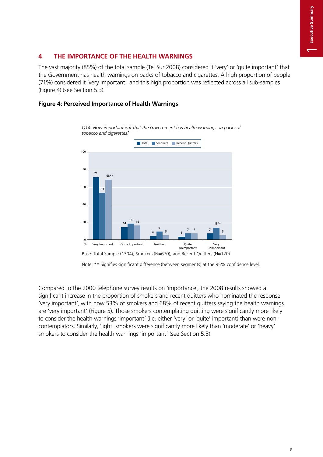# **4 THE IMPORTANCE OF THE HEALTH WARNINGS**

The vast majority (85%) of the total sample (Tel Sur 2008) considered it 'very' or 'quite important' that the Government has health warnings on packs of tobacco and cigarettes. A high proportion of people (71%) considered it 'very important', and this high proportion was reflected across all sub-samples (Figure 4) (see Section 5.3).

## **Figure 4: Perceived Importance of Health Warnings**



*Q14. How important is it that the Government has health warnings on packs of tobacco and cigarettes?*

Note: \*\* Signifies significant difference (between segments) at the 95% confidence level.

Compared to the 2000 telephone survey results on 'importance', the 2008 results showed a significant increase in the proportion of smokers and recent quitters who nominated the response 'very important', with now 53% of smokers and 68% of recent quitters saying the health warnings are 'very important' (Figure 5). Those smokers contemplating quitting were significantly more likely to consider the health warnings 'important' (i.e. either 'very' or 'quite' important) than were noncontemplators. Similarly, 'light' smokers were significantly more likely than 'moderate' or 'heavy' smokers to consider the health warnings 'important' (see Section 5.3).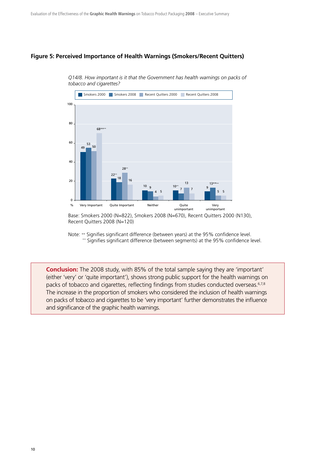#### **Figure 5: Perceived Importance of Health Warnings (Smokers/Recent Quitters)**



*Q14/8. How important is it that the Government has health warnings on packs of tobacco and cigarettes?*

Base: Smokers 2000 (N=822), Smokers 2008 (N=670), Recent Quitters 2000 (N130), Recent Quitters 2008 (N=120)

Note: ++ Signifies significant difference (between years) at the 95% confidence level. \*\* Signifies significant difference (between segments) at the 95% confidence level.

**Conclusion:** The 2008 study, with 85% of the total sample saying they are 'important' (either 'very' or 'quite important'), shows strong public support for the health warnings on packs of tobacco and cigarettes, reflecting findings from studies conducted overseas.<sup>6,7,8</sup> The increase in the proportion of smokers who considered the inclusion of health warnings on packs of tobacco and cigarettes to be 'very important' further demonstrates the influence and significance of the graphic health warnings.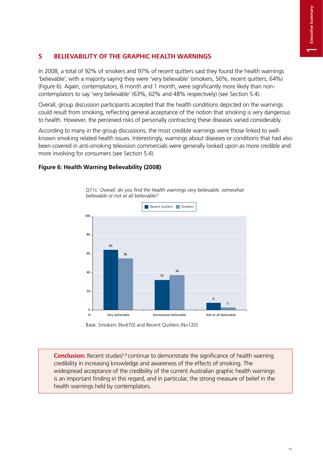# **5 BELIEVABILITY OF THE GRAPHIC HEALTH WARNINGS**

In 2008, a total of 92% of smokers and 97% of recent quitters said they found the health warnings 'believable', with a majority saying they were 'very believable' (smokers, 56%, recent quitters, 64%) (Figure 6). Again, contemplators, 6 month and 1 month, were significantly more likely than noncontemplators to say 'very believable' (63%, 62% and 48% respectively) (see Section 5.4).

Overall, group discussion participants accepted that the health conditions depicted on the warnings could result from smoking, reflecting general acceptance of the notion that smoking is very dangerous to health. However, the perceived risks of personally contracting these diseases varied considerably.

According to many in the group discussions, the most credible warnings were those linked to wellknown smoking related health issues. Interestingly, warnings about diseases or conditions that had also been covered in anti-smoking television commercials were generally looked upon as more credible and more involving for consumers (see Section 5.4).

### **Figure 6: Health Warning Believability (2008)**



*Q11c. Overall, do you find the health warnings very believable, somewhat believable or not at all believable?*

Base: Smokers (N=670) and Recent Quitters (N=120)

**Conclusion:** Recent studies<sup>5,9</sup> continue to demonstrate the significance of health warning credibility in increasing knowledge and awareness of the effects of smoking. The widespread acceptance of the credibility of the current Australian graphic health warnings is an important finding in this regard, and in particular, the strong measure of belief in the health warnings held by contemplators.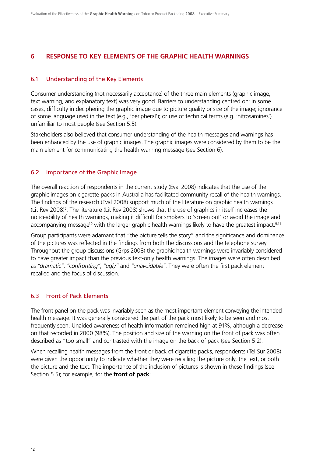### **6 RESPONSE TO KEY ELEMENTS OF THE GRAPHIC HEALTH WARNINGS**

#### 6.1 Understanding of the Key Elements

Consumer understanding (not necessarily acceptance) of the three main elements (graphic image, text warning, and explanatory text) was very good. Barriers to understanding centred on: in some cases, difficulty in deciphering the graphic image due to picture quality or size of the image; ignorance of some language used in the text (e.g., 'peripheral'); or use of technical terms (e.g. 'nitrosamines') unfamiliar to most people (see Section 5.5).

Stakeholders also believed that consumer understanding of the health messages and warnings has been enhanced by the use of graphic images. The graphic images were considered by them to be the main element for communicating the health warning message (see Section 6).

#### 6.2 Importance of the Graphic Image

The overall reaction of respondents in the current study (Eval 2008) indicates that the use of the graphic images on cigarette packs in Australia has facilitated community recall of the health warnings. The findings of the research (Eval 2008) support much of the literature on graphic health warnings (Lit Rev 2008)<sup>5</sup>. The literature (Lit Rev 2008) shows that the use of graphics in itself increases the noticeability of health warnings, making it difficult for smokers to 'screen out' or avoid the image and accompanying message<sup>10</sup> with the larger graphic health warnings likely to have the greatest impact.<sup>9,11</sup>

Group participants were adamant that "the picture tells the story" and the significance and dominance of the pictures was reflected in the findings from both the discussions and the telephone survey. Throughout the group discussions (Grps 2008) the graphic health warnings were invariably considered to have greater impact than the previous text-only health warnings. The images were often described as *"dramatic"*, *"confronting"*, *"ugly"* and *"unavoidable"*. They were often the first pack element recalled and the focus of discussion.

### 6.3 Front of Pack Elements

The front panel on the pack was invariably seen as the most important element conveying the intended health message. It was generally considered the part of the pack most likely to be seen and most frequently seen. Unaided awareness of health information remained high at 91%, although a decrease on that recorded in 2000 (98%). The position and size of the warning on the front of pack was often described as "too small" and contrasted with the image on the back of pack (see Section 5.2).

When recalling health messages from the front or back of cigarette packs, respondents (Tel Sur 2008) were given the opportunity to indicate whether they were recalling the picture only, the text, or both the picture and the text. The importance of the inclusion of pictures is shown in these findings (see Section 5.5); for example, for the **front of pack**: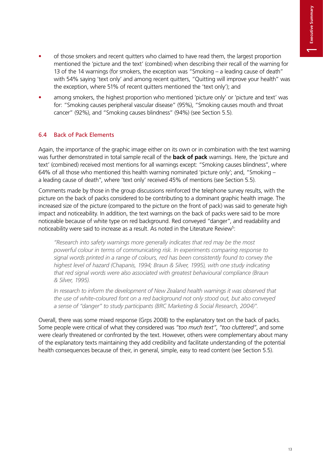- of those smokers and recent quitters who claimed to have read them, the largest proportion mentioned the 'picture and the text' (combined) when describing their recall of the warning for 13 of the 14 warnings (for smokers, the exception was "Smoking – a leading cause of death" with 54% saying 'text only' and among recent quitters, "Quitting will improve your health" was the exception, where 51% of recent quitters mentioned the 'text only'); and
- among smokers, the highest proportion who mentioned 'picture only' or 'picture and text' was for: "Smoking causes peripheral vascular disease" (95%), "Smoking causes mouth and throat cancer" (92%), and "Smoking causes blindness" (94%) (see Section 5.5).

## 6.4 Back of Pack Elements

Again, the importance of the graphic image either on its own or in combination with the text warning was further demonstrated in total sample recall of the **back of pack** warnings. Here, the 'picture and text' (combined) received most mentions for all warnings except: "Smoking causes blindness", where 64% of all those who mentioned this health warning nominated 'picture only'; and, "Smoking – a leading cause of death", where 'text only' received 45% of mentions (see Section 5.5).

Comments made by those in the group discussions reinforced the telephone survey results, with the picture on the back of packs considered to be contributing to a dominant graphic health image. The increased size of the picture (compared to the picture on the front of pack) was said to generate high impact and noticeability. In addition, the text warnings on the back of packs were said to be more noticeable because of white type on red background. Red conveyed "danger", and readability and noticeability were said to increase as a result. As noted in the Literature Review<sup>5</sup>:

*"Research into safety warnings more generally indicates that red may be the most powerful colour in terms of communicating risk. In experiments comparing response to signal words printed in a range of colours, red has been consistently found to convey the highest level of hazard (Chapanis, 1994; Braun & Silver, 1995), with one study indicating that red signal words were also associated with greatest behavioural compliance (Braun & Silver, 1995).* 

*In research to inform the development of New Zealand health warnings it was observed that the use of white-coloured font on a red background not only stood out, but also conveyed a sense of "danger" to study participants (BRC Marketing & Social Research, 2004)".*

Overall, there was some mixed response (Grps 2008) to the explanatory text on the back of packs. Some people were critical of what they considered was *"too much text"*, *"too cluttered"*, and some were clearly threatened or confronted by the text. However, others were complementary about many of the explanatory texts maintaining they add credibility and facilitate understanding of the potential health consequences because of their, in general, simple, easy to read content (see Section 5.5).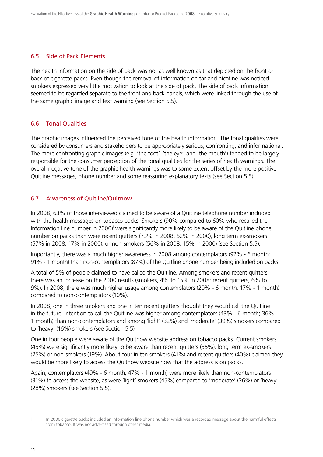#### 6.5 Side of Pack Elements

The health information on the side of pack was not as well known as that depicted on the front or back of cigarette packs. Even though the removal of information on tar and nicotine was noticed smokers expressed very little motivation to look at the side of pack. The side of pack information seemed to be regarded separate to the front and back panels, which were linked through the use of the same graphic image and text warning (see Section 5.5).

#### 6.6 Tonal Qualities

The graphic images influenced the perceived tone of the health information. The tonal qualities were considered by consumers and stakeholders to be appropriately serious, confronting, and informational. The more confronting graphic images (e.g. 'the foot', 'the eye', and 'the mouth') tended to be largely responsible for the consumer perception of the tonal qualities for the series of health warnings. The overall negative tone of the graphic health warnings was to some extent offset by the more positive Quitline messages, phone number and some reassuring explanatory texts (see Section 5.5).

#### 6.7 Awareness of Quitline/Quitnow

In 2008, 63% of those interviewed claimed to be aware of a Quitline telephone number included with the health messages on tobacco packs. Smokers (90% compared to 60% who recalled the Information line number in 2000)<sup>I</sup> were significantly more likely to be aware of the Quitline phone number on packs than were recent quitters (73% in 2008, 52% in 2000), long term ex-smokers (57% in 2008, 17% in 2000), or non-smokers (56% in 2008, 15% in 2000) (see Section 5.5).

Importantly, there was a much higher awareness in 2008 among contemplators (92% - 6 month; 91% - 1 month) than non-contemplators (87%) of the Quitline phone number being included on packs.

A total of 5% of people claimed to have called the Quitline. Among smokers and recent quitters there was an increase on the 2000 results (smokers, 4% to 15% in 2008; recent quitters, 6% to 9%). In 2008, there was much higher usage among contemplators (20% - 6 month; 17% - 1 month) compared to non-contemplators (10%).

In 2008, one in three smokers and one in ten recent quitters thought they would call the Quitline in the future. Intention to call the Quitline was higher among contemplators (43% - 6 month; 36% - 1 month) than non-contemplators and among 'light' (32%) and 'moderate' (39%) smokers compared to 'heavy' (16%) smokers (see Section 5.5).

One in four people were aware of the Quitnow website address on tobacco packs. Current smokers (45%) were significantly more likely to be aware than recent quitters (35%), long term ex-smokers (25%) or non-smokers (19%). About four in ten smokers (41%) and recent quitters (40%) claimed they would be more likely to access the Quitnow website now that the address is on packs.

Again, contemplators (49% - 6 month; 47% - 1 month) were more likely than non-contemplators (31%) to access the website, as were 'light' smokers (45%) compared to 'moderate' (36%) or 'heavy' (28%) smokers (see Section 5.5).

l In 2000 cigarette packs included an Information line phone number which was a recorded message about the harmful effects from tobacco. It was not advertised through other media.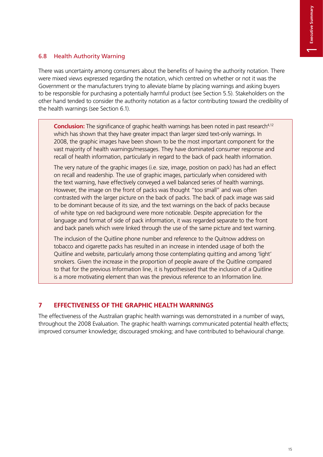## 6.8 Health Authority Warning

There was uncertainty among consumers about the benefits of having the authority notation. There were mixed views expressed regarding the notation, which centred on whether or not it was the Government or the manufacturers trying to alleviate blame by placing warnings and asking buyers to be responsible for purchasing a potentially harmful product (see Section 5.5). Stakeholders on the other hand tended to consider the authority notation as a factor contributing toward the credibility of the health warnings (see Section 6.1).

**Conclusion:** The significance of graphic health warnings has been noted in past research<sup>4,12</sup> which has shown that they have greater impact than larger sized text-only warnings. In 2008, the graphic images have been shown to be the most important component for the vast majority of health warnings/messages. They have dominated consumer response and recall of health information, particularly in regard to the back of pack health information.

The very nature of the graphic images (i.e. size, image, position on pack) has had an effect on recall and readership. The use of graphic images, particularly when considered with the text warning, have effectively conveyed a well balanced series of health warnings. However, the image on the front of packs was thought "too small" and was often contrasted with the larger picture on the back of packs. The back of pack image was said to be dominant because of its size, and the text warnings on the back of packs because of white type on red background were more noticeable. Despite appreciation for the language and format of side of pack information, it was regarded separate to the front and back panels which were linked through the use of the same picture and text warning.

The inclusion of the Quitline phone number and reference to the Quitnow address on tobacco and cigarette packs has resulted in an increase in intended usage of both the Quitline and website, particularly among those contemplating quitting and among 'light' smokers. Given the increase in the proportion of people aware of the Quitline compared to that for the previous Information line, it is hypothesised that the inclusion of a Quitline is a more motivating element than was the previous reference to an Information line.

# **7 EFFECTIVENESS OF THE GRAPHIC HEALTH WARNINGS**

The effectiveness of the Australian graphic health warnings was demonstrated in a number of ways, throughout the 2008 Evaluation. The graphic health warnings communicated potential health effects; improved consumer knowledge; discouraged smoking; and have contributed to behavioural change.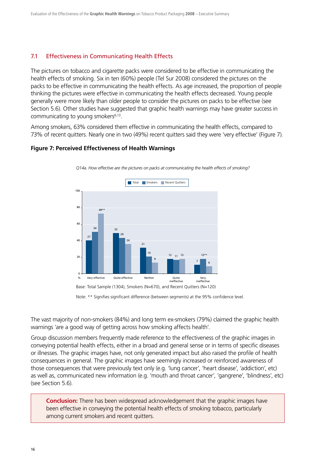#### 7.1 Effectiveness in Communicating Health Effects

The pictures on tobacco and cigarette packs were considered to be effective in communicating the health effects of smoking. Six in ten (60%) people (Tel Sur 2008) considered the pictures on the packs to be effective in communicating the health effects. As age increased, the proportion of people thinking the pictures were effective in communicating the health effects decreased. Young people generally were more likely than older people to consider the pictures on packs to be effective (see Section 5.6). Other studies have suggested that graphic health warnings may have greater success in communicating to young smokers<sup>6,13</sup>.

Among smokers, 63% considered them effective in communicating the health effects, compared to 73% of recent quitters. Nearly one in two (49%) recent quitters said they were 'very effective' (Figure 7).

#### **Figure 7: Perceived Effectiveness of Health Warnings**



*Q14a. How effective are the pictures on packs at communicating the health effects of smoking?*

Note: \*\* Signifies significant difference (between segments) at the 95% confidence level.

The vast majority of non-smokers (84%) and long term ex-smokers (79%) claimed the graphic health warnings 'are a good way of getting across how smoking affects health'.

Group discussion members frequently made reference to the effectiveness of the graphic images in conveying potential health effects, either in a broad and general sense or in terms of specific diseases or illnesses. The graphic images have, not only generated impact but also raised the profile of health consequences in general. The graphic images have seemingly increased or reinforced awareness of those consequences that were previously text only (e.g. 'lung cancer', 'heart disease', 'addiction', etc) as well as, communicated new information (e.g. 'mouth and throat cancer', 'gangrene', 'blindness', etc) (see Section 5.6).

**Conclusion:** There has been widespread acknowledgement that the graphic images have been effective in conveying the potential health effects of smoking tobacco, particularly among current smokers and recent quitters.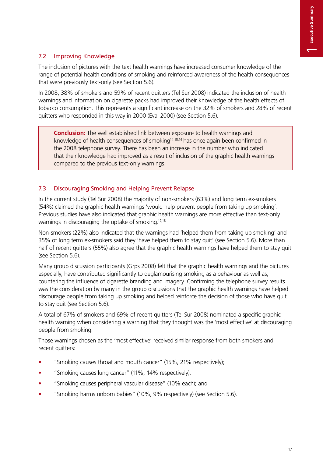# 7.2 Improving Knowledge

The inclusion of pictures with the text health warnings have increased consumer knowledge of the range of potential health conditions of smoking and reinforced awareness of the health consequences that were previously text-only (see Section 5.6).

In 2008, 38% of smokers and 59% of recent quitters (Tel Sur 2008) indicated the inclusion of health warnings and information on cigarette packs had improved their knowledge of the health effects of tobacco consumption. This represents a significant increase on the 32% of smokers and 28% of recent quitters who responded in this way in 2000 (Eval 2000) (see Section 5.6).

**Conclusion:** The well established link between exposure to health warnings and knowledge of health consequences of smoking<sup>14,15,16</sup> has once again been confirmed in the 2008 telephone survey. There has been an increase in the number who indicated that their knowledge had improved as a result of inclusion of the graphic health warnings compared to the previous text-only warnings.

# 7.3 Discouraging Smoking and Helping Prevent Relapse

In the current study (Tel Sur 2008) the majority of non-smokers (63%) and long term ex-smokers (54%) claimed the graphic health warnings 'would help prevent people from taking up smoking'. Previous studies have also indicated that graphic health warnings are more effective than text-only warnings in discouraging the uptake of smoking.<sup>17,18</sup>

Non-smokers (22%) also indicated that the warnings had 'helped them from taking up smoking' and 35% of long term ex-smokers said they 'have helped them to stay quit' (see Section 5.6). More than half of recent quitters (55%) also agree that the graphic health warnings have helped them to stay quit (see Section 5.6).

Many group discussion participants (Grps 2008) felt that the graphic health warnings and the pictures especially, have contributed significantly to deglamourising smoking as a behaviour as well as, countering the influence of cigarette branding and imagery. Confirming the telephone survey results was the consideration by many in the group discussions that the graphic health warnings have helped discourage people from taking up smoking and helped reinforce the decision of those who have quit to stay quit (see Section 5.6).

A total of 67% of smokers and 69% of recent quitters (Tel Sur 2008) nominated a specific graphic health warning when considering a warning that they thought was the 'most effective' at discouraging people from smoking.

Those warnings chosen as the 'most effective' received similar response from both smokers and recent quitters:

- "Smoking causes throat and mouth cancer" (15%, 21% respectively);
- "Smoking causes lung cancer" (11%, 14% respectively);
- "Smoking causes peripheral vascular disease" (10% each); and
- "Smoking harms unborn babies" (10%, 9% respectively) (see Section 5.6).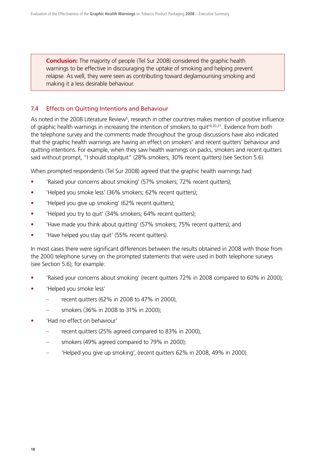**Conclusion:** The majority of people (Tel Sur 2008) considered the graphic health warnings to be effective in discouraging the uptake of smoking and helping prevent relapse. As well, they were seen as contributing toward deglamourising smoking and making it a less desirable behaviour.

#### 7.4 Effects on Quitting Intentions and Behaviour

As noted in the 2008 Literature Review<sup>5</sup>, research in other countries makes mention of positive influence of graphic health warnings in increasing the intention of smokers to quit<sup>19,20,21</sup>. Evidence from both the telephone survey and the comments made throughout the group discussions have also indicated that the graphic health warnings are having an effect on smokers' and recent quitters' behaviour and quitting intentions. For example, when they saw health warnings on packs, smokers and recent quitters said without prompt, "I should stop/quit" (28% smokers; 30% recent quitters) (see Section 5.6).

When prompted respondents (Tel Sur 2008) agreed that the graphic health warnings had:

- 'Raised your concerns about smoking' (57% smokers; 72% recent quitters);
- 'Helped you smoke less' (36% smokers; 62% recent quitters);
- 'Helped you give up smoking' (62% recent quitters);
- 'Helped you try to quit' (34% smokers; 64% recent quitters);
- 'Have made you think about quitting' (57% smokers; 75% recent quitters); and
- 'Have helped you stay quit' (55% recent quitters).

In most cases there were significant differences between the results obtained in 2008 with those from the 2000 telephone survey on the prompted statements that were used in both telephone surveys (see Section 5.6); for example:

- 'Raised your concerns about smoking' (recent quitters 72% in 2008 compared to 60% in 2000);
- 'Helped you smoke less'
	- recent quitters (62% in 2008 to 47% in 2000),
	- smokers (36% in 2008 to 31% in 2000);
- 'Had no effect on behaviour'
	- recent quitters (25% agreed compared to 83% in 2000),
	- smokers (49% agreed compared to 79% in 2000);
	- 'Helped you give up smoking', (recent quitters 62% in 2008, 49% in 2000).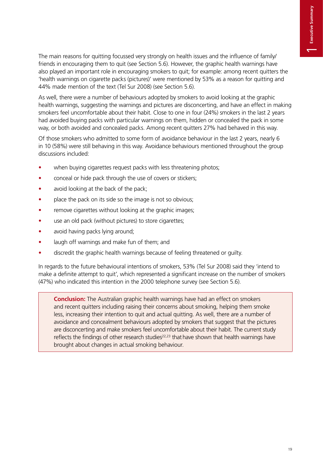The main reasons for quitting focussed very strongly on health issues and the influence of family/ friends in encouraging them to quit (see Section 5.6). However, the graphic health warnings have also played an important role in encouraging smokers to quit; for example: among recent quitters the 'health warnings on cigarette packs (pictures)' were mentioned by 53% as a reason for quitting and 44% made mention of the text (Tel Sur 2008) (see Section 5.6).

As well, there were a number of behaviours adopted by smokers to avoid looking at the graphic health warnings, suggesting the warnings and pictures are disconcerting, and have an effect in making smokers feel uncomfortable about their habit. Close to one in four (24%) smokers in the last 2 years had avoided buying packs with particular warnings on them, hidden or concealed the pack in some way, or both avoided and concealed packs. Among recent quitters 27% had behaved in this way.

Of those smokers who admitted to some form of avoidance behaviour in the last 2 years, nearly 6 in 10 (58%) were still behaving in this way. Avoidance behaviours mentioned throughout the group discussions included:

- when buying cigarettes request packs with less threatening photos;
- conceal or hide pack through the use of covers or stickers;
- $\bullet$  avoid looking at the back of the pack;
- place the pack on its side so the image is not so obvious;
- remove cigarettes without looking at the graphic images;
- use an old pack (without pictures) to store cigarettes;
- avoid having packs lying around;
- laugh off warnings and make fun of them; and
- discredit the graphic health warnings because of feeling threatened or guilty.

In regards to the future behavioural intentions of smokers, 53% (Tel Sur 2008) said they 'intend to make a definite attempt to quit', which represented a significant increase on the number of smokers (47%) who indicated this intention in the 2000 telephone survey (see Section 5.6).

**Conclusion:** The Australian graphic health warnings have had an effect on smokers and recent quitters including raising their concerns about smoking, helping them smoke less, increasing their intention to quit and actual quitting. As well, there are a number of avoidance and concealment behaviours adopted by smokers that suggest that the pictures are disconcerting and make smokers feel uncomfortable about their habit. The current study reflects the findings of other research studies<sup>22,23</sup> that have shown that health warnings have brought about changes in actual smoking behaviour.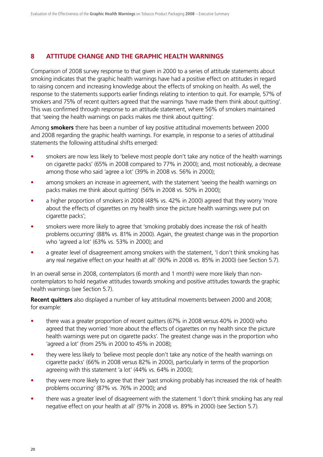#### **8 ATTITUDE CHANGE AND THE GRAPHIC HEALTH WARNINGS**

Comparison of 2008 survey response to that given in 2000 to a series of attitude statements about smoking indicates that the graphic health warnings have had a positive effect on attitudes in regard to raising concern and increasing knowledge about the effects of smoking on health. As well, the response to the statements supports earlier findings relating to intention to quit. For example, 57% of smokers and 75% of recent quitters agreed that the warnings 'have made them think about quitting'. This was confirmed through response to an attitude statement, where 56% of smokers maintained that 'seeing the health warnings on packs makes me think about quitting'.

Among **smokers** there has been a number of key positive attitudinal movements between 2000 and 2008 regarding the graphic health warnings. For example, in response to a series of attitudinal statements the following attitudinal shifts emerged:

- smokers are now less likely to 'believe most people don't take any notice of the health warnings on cigarette packs' (65% in 2008 compared to 77% in 2000); and, most noticeably, a decrease among those who said 'agree a lot' (39% in 2008 vs. 56% in 2000);
- among smokers an increase in agreement, with the statement 'seeing the health warnings on packs makes me think about quitting' (56% in 2008 vs. 50% in 2000);
- a higher proportion of smokers in 2008 (48% vs. 42% in 2000) agreed that they worry 'more about the effects of cigarettes on my health since the picture health warnings were put on cigarette packs';
- smokers were more likely to agree that 'smoking probably does increase the risk of health problems occurring' (88% vs. 81% in 2000). Again, the greatest change was in the proportion who 'agreed a lot' (63% vs. 53% in 2000); and
- a greater level of disagreement among smokers with the statement, 'I don't think smoking has any real negative effect on your health at all' (90% in 2008 vs. 85% in 2000) (see Section 5.7).

In an overall sense in 2008, contemplators (6 month and 1 month) were more likely than noncontemplators to hold negative attitudes towards smoking and positive attitudes towards the graphic health warnings (see Section 5.7).

**Recent quitters** also displayed a number of key attitudinal movements between 2000 and 2008; for example:

- there was a greater proportion of recent quitters (67% in 2008 versus 40% in 2000) who agreed that they worried 'more about the effects of cigarettes on my health since the picture health warnings were put on cigarette packs'. The greatest change was in the proportion who 'agreed a lot' (from 25% in 2000 to 45% in 2008);
- they were less likely to 'believe most people don't take any notice of the health warnings on cigarette packs' (66% in 2008 versus 82% in 2000), particularly in terms of the proportion agreeing with this statement 'a lot' (44% vs. 64% in 2000);
- they were more likely to agree that their 'past smoking probably has increased the risk of health problems occurring' (87% vs. 76% in 2000); and
- there was a greater level of disagreement with the statement 'I don't think smoking has any real negative effect on your health at all' (97% in 2008 vs. 89% in 2000) (see Section 5.7).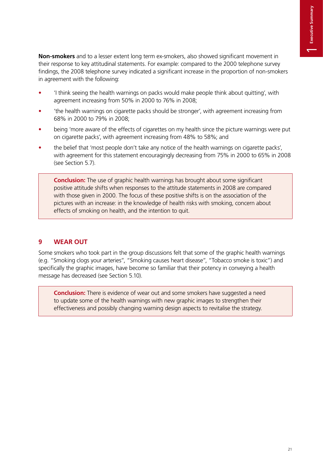**Non-smokers** and to a lesser extent long term ex-smokers, also showed significant movement in their response to key attitudinal statements. For example: compared to the 2000 telephone survey findings, the 2008 telephone survey indicated a significant increase in the proportion of non-smokers in agreement with the following:

- t 'I think seeing the health warnings on packs would make people think about quitting', with agreement increasing from 50% in 2000 to 76% in 2008;
- t 'the health warnings on cigarette packs should be stronger', with agreement increasing from 68% in 2000 to 79% in 2008;
- being 'more aware of the effects of cigarettes on my health since the picture warnings were put on cigarette packs', with agreement increasing from 48% to 58%; and
- the belief that 'most people don't take any notice of the health warnings on cigarette packs', with agreement for this statement encouragingly decreasing from 75% in 2000 to 65% in 2008 (see Section 5.7).

**Conclusion:** The use of graphic health warnings has brought about some significant positive attitude shifts when responses to the attitude statements in 2008 are compared with those given in 2000. The focus of these positive shifts is on the association of the pictures with an increase: in the knowledge of health risks with smoking, concern about effects of smoking on health, and the intention to quit.

# **9 WEAR OUT**

Some smokers who took part in the group discussions felt that some of the graphic health warnings (e.g. "Smoking clogs your arteries", "Smoking causes heart disease", "Tobacco smoke is toxic") and specifically the graphic images, have become so familiar that their potency in conveying a health message has decreased (see Section 5.10).

**Conclusion:** There is evidence of wear out and some smokers have suggested a need to update some of the health warnings with new graphic images to strengthen their effectiveness and possibly changing warning design aspects to revitalise the strategy.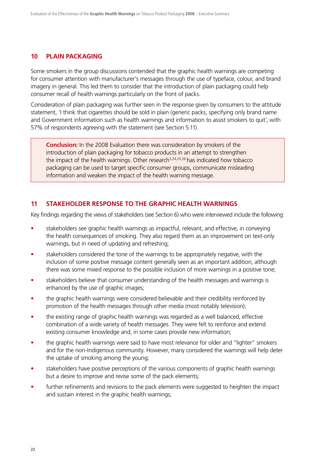#### **10 PLAIN PACKAGING**

Some smokers in the group discussions contended that the graphic health warnings are competing for consumer attention with manufacturer's messages through the use of typeface, colour, and brand imagery in general. This led them to consider that the introduction of plain packaging could help consumer recall of health warnings particularly on the front of packs.

Consideration of plain packaging was further seen in the response given by consumers to the attitude statement, 'I think that cigarettes should be sold in plain (generic packs, specifying only brand name and Government information such as health warnings and information to assist smokers to quit', with 57% of respondents agreeing with the statement (see Section 5.11).

**Conclusion:** In the 2008 Evaluation there was consideration by smokers of the introduction of plain packaging for tobacco products in an attempt to strengthen the impact of the health warnings. Other research<sup>3,24,25,26</sup> has indicated how tobacco packaging can be used to target specific consumer groups, communicate misleading information and weaken the impact of the health warning message.

#### **11 STAKEHOLDER RESPONSE TO THE GRAPHIC HEALTH WARNINGS**

Key findings regarding the views of stakeholders (see Section 6) who were interviewed include the following:

- stakeholders see graphic health warnings as impactful, relevant, and effective, in conveying the health consequences of smoking. They also regard them as an improvement on text-only warnings, but in need of updating and refreshing;
- stakeholders considered the tone of the warnings to be appropriately negative, with the inclusion of some positive message content generally seen as an important addition, although there was some mixed response to the possible inclusion of more warnings in a positive tone;
- stakeholders believe that consumer understanding of the health messages and warnings is enhanced by the use of graphic images;
- the graphic health warnings were considered believable and their credibility reinforced by promotion of the health messages through other media (most notably television);
- the existing range of graphic health warnings was regarded as a well balanced, effective combination of a wide variety of health messages. They were felt to reinforce and extend existing consumer knowledge and, in some cases provide new information;
- the graphic health warnings were said to have most relevance for older and "lighter" smokers and for the non-Indigenous community. However, many considered the warnings will help deter the uptake of smoking among the young;
- stakeholders have positive perceptions of the various components of graphic health warnings but a desire to improve and revise some of the pack elements;
- further refinements and revisions to the pack elements were suggested to heighten the impact and sustain interest in the graphic health warnings;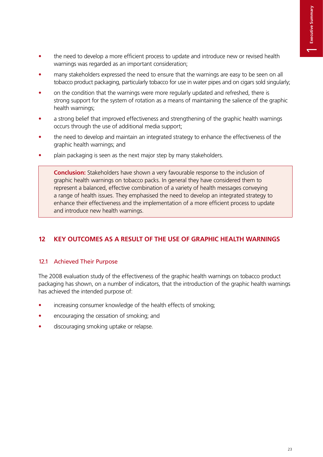- the need to develop a more efficient process to update and introduce new or revised health warnings was regarded as an important consideration;
- many stakeholders expressed the need to ensure that the warnings are easy to be seen on all tobacco product packaging, particularly tobacco for use in water pipes and on cigars sold singularly;
- on the condition that the warnings were more regularly updated and refreshed, there is strong support for the system of rotation as a means of maintaining the salience of the graphic health warnings;
- a strong belief that improved effectiveness and strengthening of the graphic health warnings occurs through the use of additional media support;
- the need to develop and maintain an integrated strategy to enhance the effectiveness of the graphic health warnings; and
- plain packaging is seen as the next major step by many stakeholders.

**Conclusion:** Stakeholders have shown a very favourable response to the inclusion of graphic health warnings on tobacco packs. In general they have considered them to represent a balanced, effective combination of a variety of health messages conveying a range of health issues. They emphasised the need to develop an integrated strategy to enhance their effectiveness and the implementation of a more efficient process to update and introduce new health warnings.

# **12 KEY OUTCOMES AS A RESULT OF THE USE OF GRAPHIC HEALTH WARNINGS**

### 12.1 Achieved Their Purpose

The 2008 evaluation study of the effectiveness of the graphic health warnings on tobacco product packaging has shown, on a number of indicators, that the introduction of the graphic health warnings has achieved the intended purpose of:

- increasing consumer knowledge of the health effects of smoking;
- encouraging the cessation of smoking; and
- discouraging smoking uptake or relapse.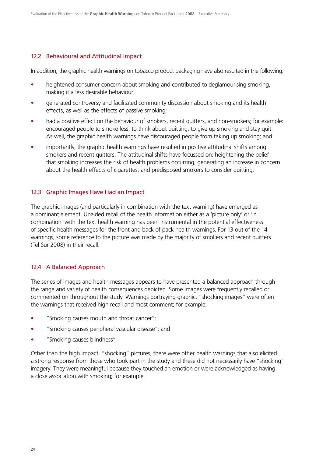#### 12.2 Behavioural and Attitudinal Impact

In addition, the graphic health warnings on tobacco product packaging have also resulted in the following:

- heightened consumer concern about smoking and contributed to deglamourising smoking, making it a less desirable behaviour;
- generated controversy and facilitated community discussion about smoking and its health effects, as well as the effects of passive smoking;
- had a positive effect on the behaviour of smokers, recent quitters, and non-smokers; for example: encouraged people to smoke less, to think about quitting, to give up smoking and stay quit. As well, the graphic health warnings have discouraged people from taking up smoking; and
- importantly, the graphic health warnings have resulted in positive attitudinal shifts among smokers and recent quitters. The attitudinal shifts have focussed on: heightening the belief that smoking increases the risk of health problems occurring, generating an increase in concern about the health effects of cigarettes, and predisposed smokers to consider quitting.

#### 12.3 Graphic Images Have Had an Impact

The graphic images (and particularly in combination with the text warning) have emerged as a dominant element. Unaided recall of the health information either as a 'picture only' or 'in combination' with the text health warning has been instrumental in the potential effectiveness of specific health messages for the front and back of pack health warnings. For 13 out of the 14 warnings, some reference to the picture was made by the majority of smokers and recent quitters (Tel Sur 2008) in their recall.

#### 12.4 A Balanced Approach

The series of images and health messages appears to have presented a balanced approach through the range and variety of health consequences depicted. Some images were frequently recalled or commented on throughout the study. Warnings portraying graphic, "shocking images" were often the warnings that received high recall and most comment; for example:

- "Smoking causes mouth and throat cancer";
- "Smoking causes peripheral vascular disease"; and
- "Smoking causes blindness".

Other than the high impact, "shocking" pictures, there were other health warnings that also elicited a strong response from those who took part in the study and these did not necessarily have "shocking" imagery. They were meaningful because they touched an emotion or were acknowledged as having a close association with smoking; for example: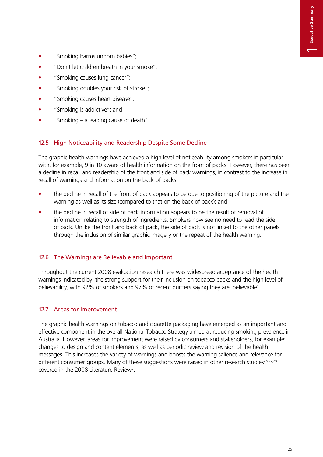- "Smoking harms unborn babies";
- "Don't let children breath in your smoke";
- "Smoking causes lung cancer";
- "Smoking doubles your risk of stroke";
- "Smoking causes heart disease":
- "Smoking is addictive"; and
- $\bullet$  "Smoking a leading cause of death".

## 12.5 High Noticeability and Readership Despite Some Decline

The graphic health warnings have achieved a high level of noticeability among smokers in particular with, for example, 9 in 10 aware of health information on the front of packs. However, there has been a decline in recall and readership of the front and side of pack warnings, in contrast to the increase in recall of warnings and information on the back of packs:

- the decline in recall of the front of pack appears to be due to positioning of the picture and the warning as well as its size (compared to that on the back of pack); and
- the decline in recall of side of pack information appears to be the result of removal of information relating to strength of ingredients. Smokers now see no need to read the side of pack. Unlike the front and back of pack, the side of pack is not linked to the other panels through the inclusion of similar graphic imagery or the repeat of the health warning.

### 12.6 The Warnings are Believable and Important

Throughout the current 2008 evaluation research there was widespread acceptance of the health warnings indicated by: the strong support for their inclusion on tobacco packs and the high level of believability, with 92% of smokers and 97% of recent quitters saying they are 'believable'.

### 12.7 Areas for Improvement

The graphic health warnings on tobacco and cigarette packaging have emerged as an important and effective component in the overall National Tobacco Strategy aimed at reducing smoking prevalence in Australia. However, areas for improvement were raised by consumers and stakeholders, for example: changes to design and content elements, as well as periodic review and revision of the health messages. This increases the variety of warnings and boosts the warning salience and relevance for different consumer groups. Many of these suggestions were raised in other research studies<sup>23,27,29</sup> covered in the 2008 Literature Review<sup>5</sup>.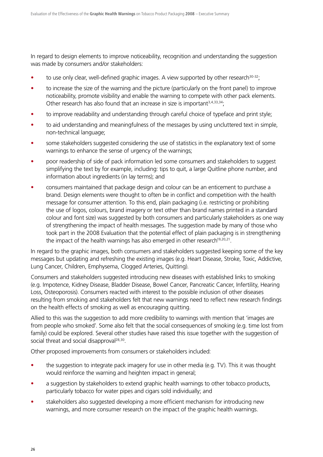In regard to design elements to improve noticeability, recognition and understanding the suggestion was made by consumers and/or stakeholders:

- $\bullet$  to use only clear, well-defined graphic images. A view supported by other research<sup>30-32</sup>;
- to increase the size of the warning and the picture (particularly on the front panel) to improve noticeability, promote visibility and enable the warning to compete with other pack elements. Other research has also found that an increase in size is important<sup>3,4,33,34</sup>;
- to improve readability and understanding through careful choice of typeface and print style;
- to aid understanding and meaningfulness of the messages by using uncluttered text in simple, non-technical language;
- some stakeholders suggested considering the use of statistics in the explanatory text of some warnings to enhance the sense of urgency of the warnings;
- poor readership of side of pack information led some consumers and stakeholders to suggest simplifying the text by for example, including: tips to quit, a large Quitline phone number, and information about ingredients (in lay terms); and
- consumers maintained that package design and colour can be an enticement to purchase a brand. Design elements were thought to often be in conflict and competition with the health message for consumer attention. To this end, plain packaging (i.e. restricting or prohibiting the use of logos, colours, brand imagery or text other than brand names printed in a standard colour and font size) was suggested by both consumers and particularly stakeholders as one way of strengthening the impact of health messages. The suggestion made by many of those who took part in the 2008 Evaluation that the potential effect of plain packaging is in strengthening the impact of the health warnings has also emerged in other research<sup>19,20,21</sup>.

In regard to the graphic images, both consumers and stakeholders suggested keeping some of the key messages but updating and refreshing the existing images (e.g. Heart Disease, Stroke, Toxic, Addictive, Lung Cancer, Children, Emphysema, Clogged Arteries, Quitting).

Consumers and stakeholders suggested introducing new diseases with established links to smoking (e.g. Impotence, Kidney Disease, Bladder Disease, Bowel Cancer, Pancreatic Cancer, Infertility, Hearing Loss, Osteoporosis). Consumers reacted with interest to the possible inclusion of other diseases resulting from smoking and stakeholders felt that new warnings need to reflect new research findings on the health effects of smoking as well as encouraging quitting.

Allied to this was the suggestion to add more credibility to warnings with mention that 'images are from people who smoked'. Some also felt that the social consequences of smoking (e.g. time lost from family) could be explored. Several other studies have raised this issue together with the suggestion of social threat and social disapproval<sup>28,30</sup>.

Other proposed improvements from consumers or stakeholders included:

- $\bullet$  the suggestion to integrate pack imagery for use in other media (e.g. TV). This it was thought would reinforce the warning and heighten impact in general;
- a suggestion by stakeholders to extend graphic health warnings to other tobacco products, particularly tobacco for water pipes and cigars sold individually; and
- t stakeholders also suggested developing a more efficient mechanism for introducing new warnings, and more consumer research on the impact of the graphic health warnings.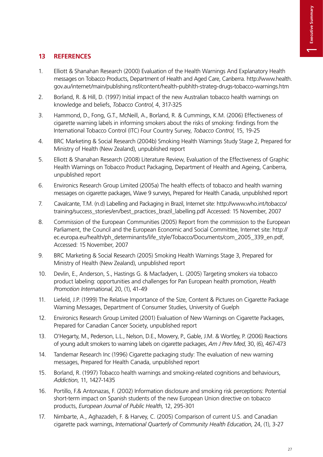# **13 REFERENCES**

- 1. Elliott & Shanahan Research (2000) Evaluation of the Health Warnings And Explanatory Health messages on Tobacco Products, Department of Health and Aged Care, Canberra. http://www.health. gov.au/internet/main/publishing.nsf/content/health-pubhlth-strateg-drugs-tobacco-warnings.htm
- 2. Borland, R. & Hill, D. (1997) Initial impact of the new Australian tobacco health warnings on knowledge and beliefs, *Tobacco Control*, 4, 317-325
- 3. Hammond, D., Fong, G.T., McNeill, A., Borland, R. & Cummings, K.M. (2006) Effectiveness of cigarette warning labels in informing smokers about the risks of smoking: findings from the International Tobacco Control (ITC) Four Country Survey, *Tobacco Control*, 15, 19-25
- 4. BRC Marketing & Social Research (2004b) Smoking Health Warnings Study Stage 2, Prepared for Ministry of Health (New Zealand), unpublished report
- 5. Elliott & Shanahan Research (2008) Literature Review, Evaluation of the Effectiveness of Graphic Health Warnings on Tobacco Product Packaging, Department of Health and Ageing, Canberra, unpublished report
- 6. Environics Research Group Limited (2005a) The health effects of tobacco and health warning messages on cigarette packages, Wave 9 surveys, Prepared for Health Canada, unpublished report
- 7. Cavalcante, T.M. (n.d) Labelling and Packaging in Brazil, Internet site: http://www.who.int/tobacco/ training/success\_stories/en/best\_practices\_brazil\_labelling.pdf Accessed: 15 November, 2007
- 8. Commission of the European Communities (2005) Report from the commission to the European Parliament, the Council and the European Economic and Social Committee, Internet site: http:// ec.europa.eu/health/ph\_determinants/life\_style/Tobacco/Documents/com\_2005\_339\_en.pdf, Accessed: 15 November, 2007
- 9. BRC Marketing & Social Research (2005) Smoking Health Warnings Stage 3, Prepared for Ministry of Health (New Zealand), unpublished report
- 10. Devlin, E., Anderson, S., Hastings G. & Macfadyen, L. (2005) Targeting smokers via tobacco product labeling: opportunities and challenges for Pan European health promotion, *Health Promotion International*, 20, (1), 41-49
- 11. Liefeld, J.P. (1999) The Relative Importance of the Size, Content & Pictures on Cigarette Package Warning Messages, Department of Consumer Studies, University of Guelph
- 12. Environics Research Group Limited (2001) Evaluation of New Warnings on Cigarette Packages, Prepared for Canadian Cancer Society, unpublished report
- 13. O'Hegarty, M., Pederson, L.L., Nelson, D.E., Mowery, P., Gable, J.M. & Wortley, P. (2006) Reactions of young adult smokers to warning labels on cigarette packages, *Am J Prev Med*, 30, (6), 467-473
- 14. Tandemar Research Inc (1996) Cigarette packaging study: The evaluation of new warning messages, Prepared for Health Canada, unpublished report
- 15. Borland, R. (1997) Tobacco health warnings and smoking-related cognitions and behaviours, *Addiction*, 11, 1427-1435
- 16. Portillo, F.& Antonazas, F. (2002) Information disclosure and smoking risk perceptions: Potential short-term impact on Spanish students of the new European Union directive on tobacco products, *European Journal of Public Health*, 12, 295-301
- 17. Nimbarte, A., Aghazadeh, F. & Harvey, C. (2005) Comparison of current U.S. and Canadian cigarette pack warnings, *International Quarterly of Community Health Education*, 24, (1), 3-27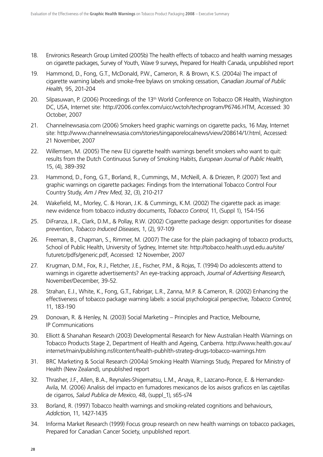- 18. Environics Research Group Limited (2005b) The health effects of tobacco and health warning messages on cigarette packages, Survey of Youth, Wave 9 surveys, Prepared for Health Canada, unpublished report
- 19. Hammond, D., Fong, G.T., McDonald, P.W., Cameron, R. & Brown, K.S. (2004a) The impact of cigarette warning labels and smoke-free bylaws on smoking cessation, *Canadian Journal of Public Health,* 95, 201-204
- 20. Silpasuwan, P. (2006) Proceedings of the 13<sup>th</sup> World Conference on Tobacco OR Health, Washington DC, USA, Internet site: http://2006.confex.com/uicc/wctoh/techprogram/P6746.HTM, Accessed: 30 October, 2007
- 21. Channelnewsasia.com (2006) Smokers heed graphic warnings on cigarette packs, 16 May, Internet site: http://www.channelnewsasia.com/stories/singaporelocalnews/view/208614/1/.html, Accessed: 21 November, 2007
- 22. Willemsen, M. (2005) The new EU cigarette health warnings benefit smokers who want to quit: results from the Dutch Continuous Survey of Smoking Habits, *European Journal of Public Health*, 15, (4), 389-392
- 23. Hammond, D., Fong, G.T., Borland, R., Cummings, M., McNeill, A. & Driezen, P. (2007) Text and graphic warnings on cigarette packages: Findings from the International Tobacco Control Four Country Study, *Am J Prev Med*, 32, (3), 210-217
- 24. Wakefield, M., Morley, C. & Horan, J.K. & Cummings, K.M. (2002) The cigarette pack as image: new evidence from tobacco industry documents, *Tobacco Control*, 11, (Suppl 1), 154-156
- 25. DiFranza, J.R., Clark, D.M., & Pollay, R.W. (2002) Cigarette package design: opportunities for disease prevention, *Tobacco Induced Diseases*, 1, (2), 97-109
- 26. Freeman, B., Chapman, S., Rimmer, M. (2007) The case for the plain packaging of tobacco products, School of Public Health, University of Sydney, Internet site: http://tobacco.health.usyd.edu.au/site/ futuretc/pdfs/generic.pdf, Accessed: 12 November, 2007
- 27. Krugman, D.M., Fox, R.J., Fletcher, J.E., Fischer, P.M., & Rojas, T. (1994) Do adolescents attend to warnings in cigarette advertisements? An eye-tracking approach, *Journal of Advertising Research*, November/December, 39-52.
- 28. Strahan, E.J., White, K., Fong, G.T., Fabrigar, L.R., Zanna, M.P. & Cameron, R. (2002) Enhancing the effectiveness of tobacco package warning labels: a social psychological perspective, *Tobacco Control*, 11, 183-190
- 29. Donovan, R. & Henley, N. (2003) Social Marketing Principles and Practice, Melbourne, IP Communications
- 30. Elliott & Shanahan Research (2003) Developmental Research for New Australian Health Warnings on Tobacco Products Stage 2, Department of Health and Ageing, Canberra. http://www.health.gov.au/ internet/main/publishing.nsf/content/health-pubhlth-strateg-drugs-tobacco-warnings.htm
- 31. BRC Marketing & Social Research (2004a) Smoking Health Warnings Study, Prepared for Ministry of Health (New Zealand), unpublished report
- 32. Thrasher, J.F., Allen, B.A., Reynales-Shigematsu, L.M., Anaya, R., Lazcano-Ponce, E. & Hernandez-Avila, M. (2006) Analisis del impacto en fumadores mexicanos de los avisos graficos en las cajetillas de cigarros, *Salud Publica de Mexico*, 48, (suppl\_1), s65-s74
- 33. Borland, R. (1997) Tobacco health warnings and smoking-related cognitions and behaviours, *Addiction*, 11, 1427-1435
- 34. Informa Market Research (1999) Focus group research on new health warnings on tobacco packages, Prepared for Canadian Cancer Society, unpublished report.